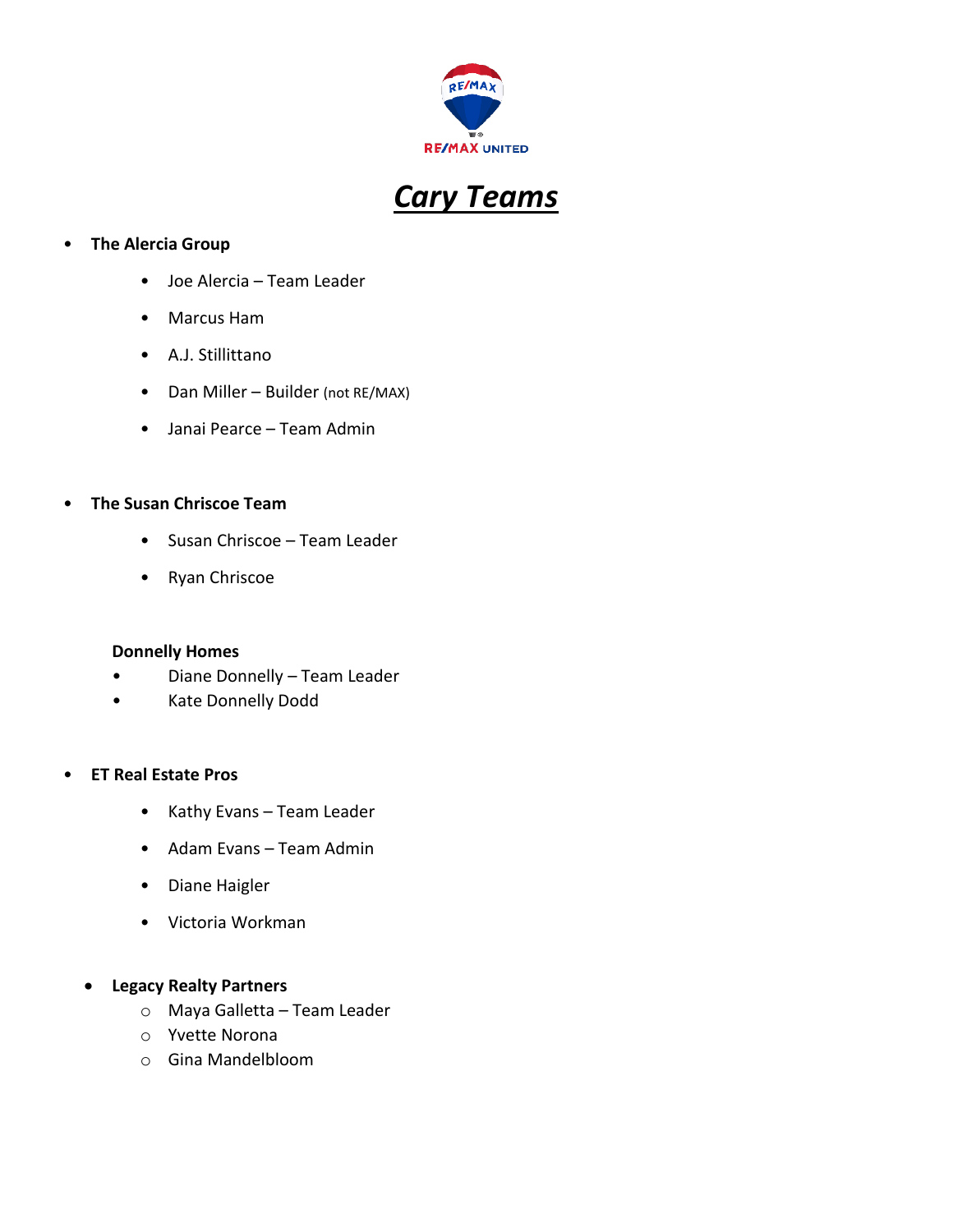



## • **The Alercia Group**

- Joe Alercia Team Leader
- Marcus Ham
- A.J. Stillittano
- Dan Miller Builder (not RE/MAX)
- Janai Pearce Team Admin

#### • **The Susan Chriscoe Team**

- Susan Chriscoe Team Leader
- Ryan Chriscoe

#### **Donnelly Homes**

- Diane Donnelly Team Leader
- Kate Donnelly Dodd

#### • **ET Real Estate Pros**

- Kathy Evans Team Leader
- Adam Evans Team Admin
- Diane Haigler
- Victoria Workman
- **Legacy Realty Partners**
	- o Maya Galletta Team Leader
	- o Yvette Norona
	- o Gina Mandelbloom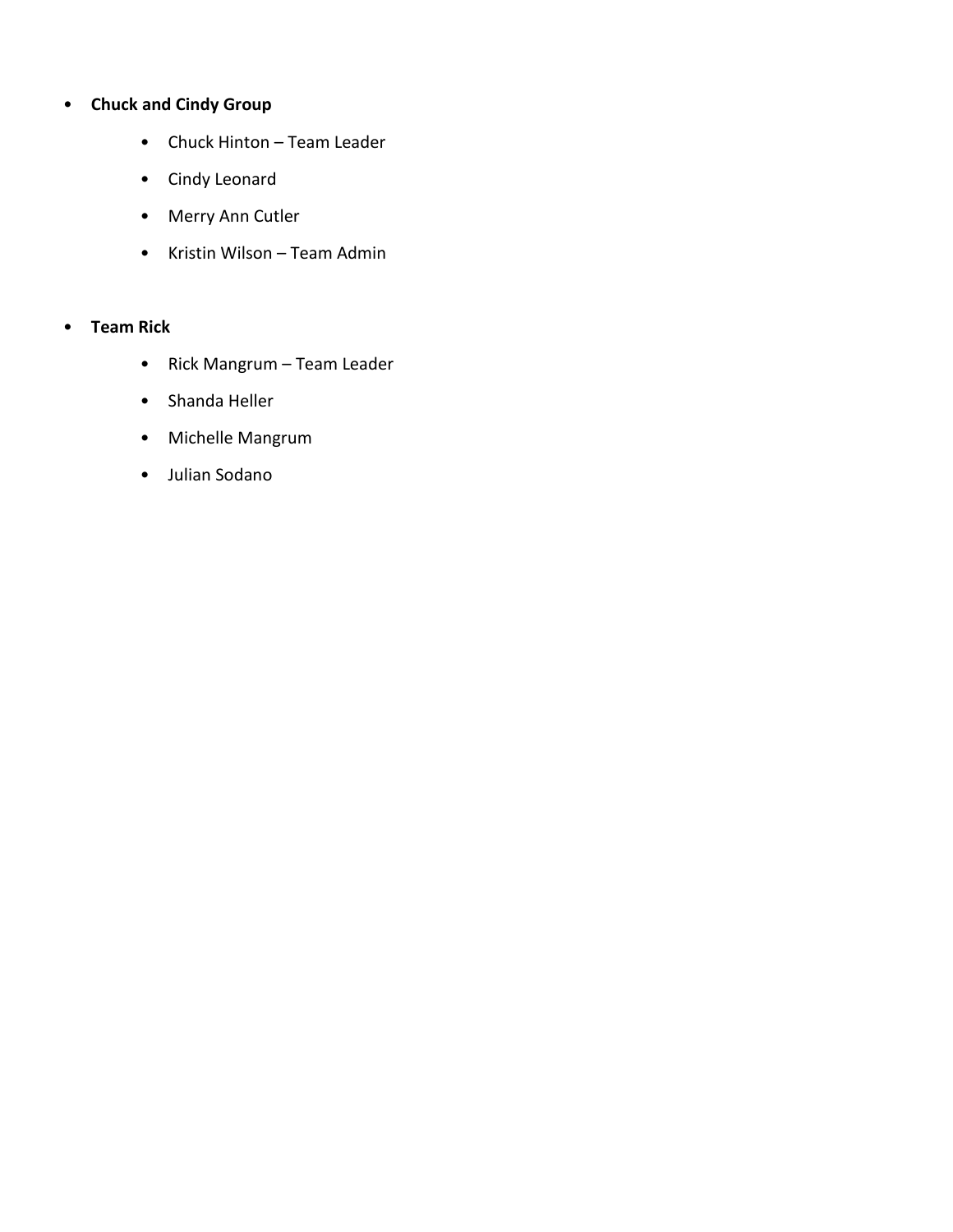# • **Chuck and Cindy Group**

- Chuck Hinton Team Leader
- Cindy Leonard
- Merry Ann Cutler
- Kristin Wilson Team Admin

# • **Team Rick**

- Rick Mangrum Team Leader
- Shanda Heller
- Michelle Mangrum
- Julian Sodano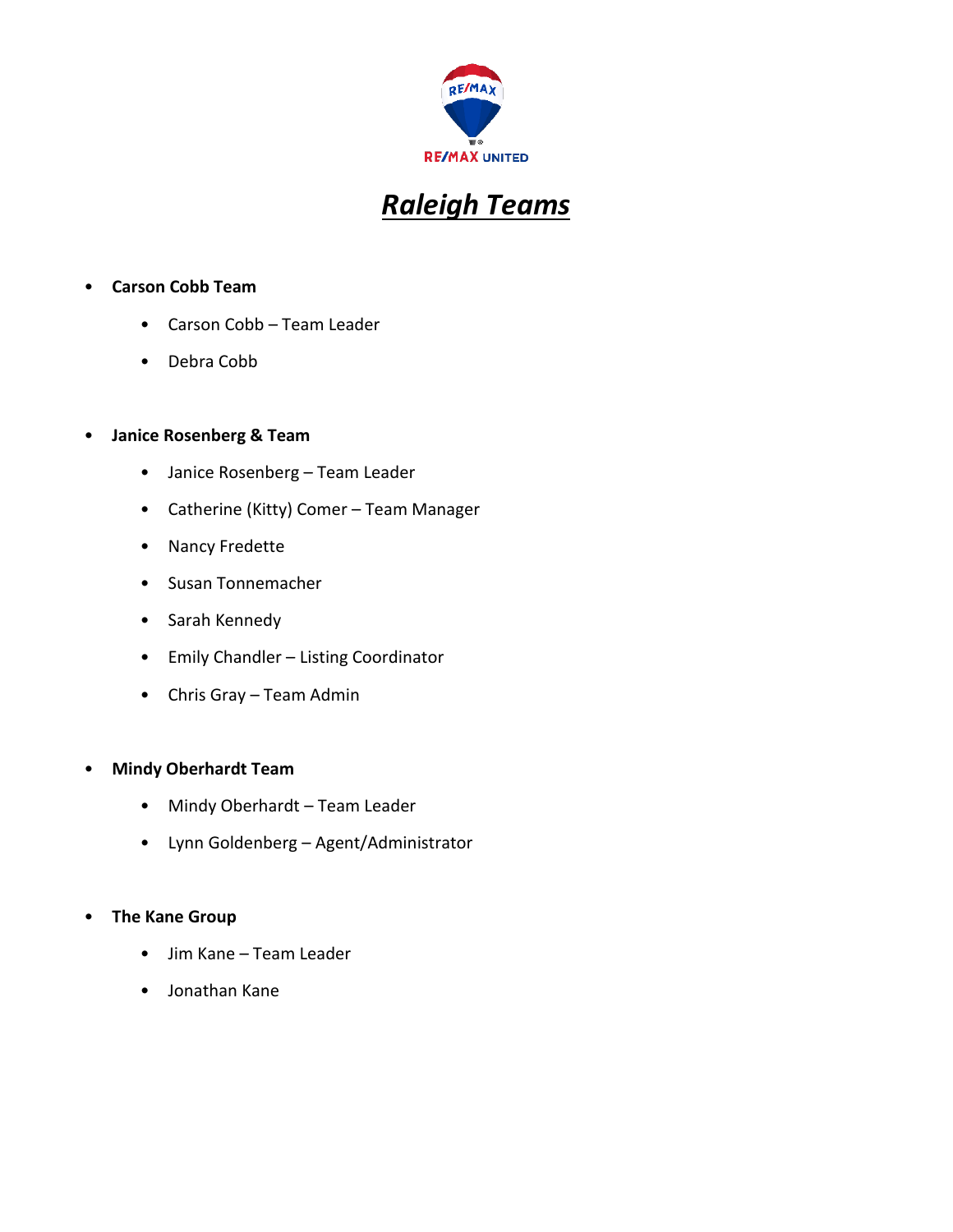

# *Raleigh Teams*

## • **Carson Cobb Team**

- Carson Cobb Team Leader
- Debra Cobb

#### • **Janice Rosenberg & Team**

- Janice Rosenberg Team Leader
- Catherine (Kitty) Comer Team Manager
- Nancy Fredette
- Susan Tonnemacher
- Sarah Kennedy
- Emily Chandler Listing Coordinator
- Chris Gray Team Admin

#### • **Mindy Oberhardt Team**

- Mindy Oberhardt Team Leader
- Lynn Goldenberg Agent/Administrator

#### • **The Kane Group**

- Jim Kane Team Leader
- Jonathan Kane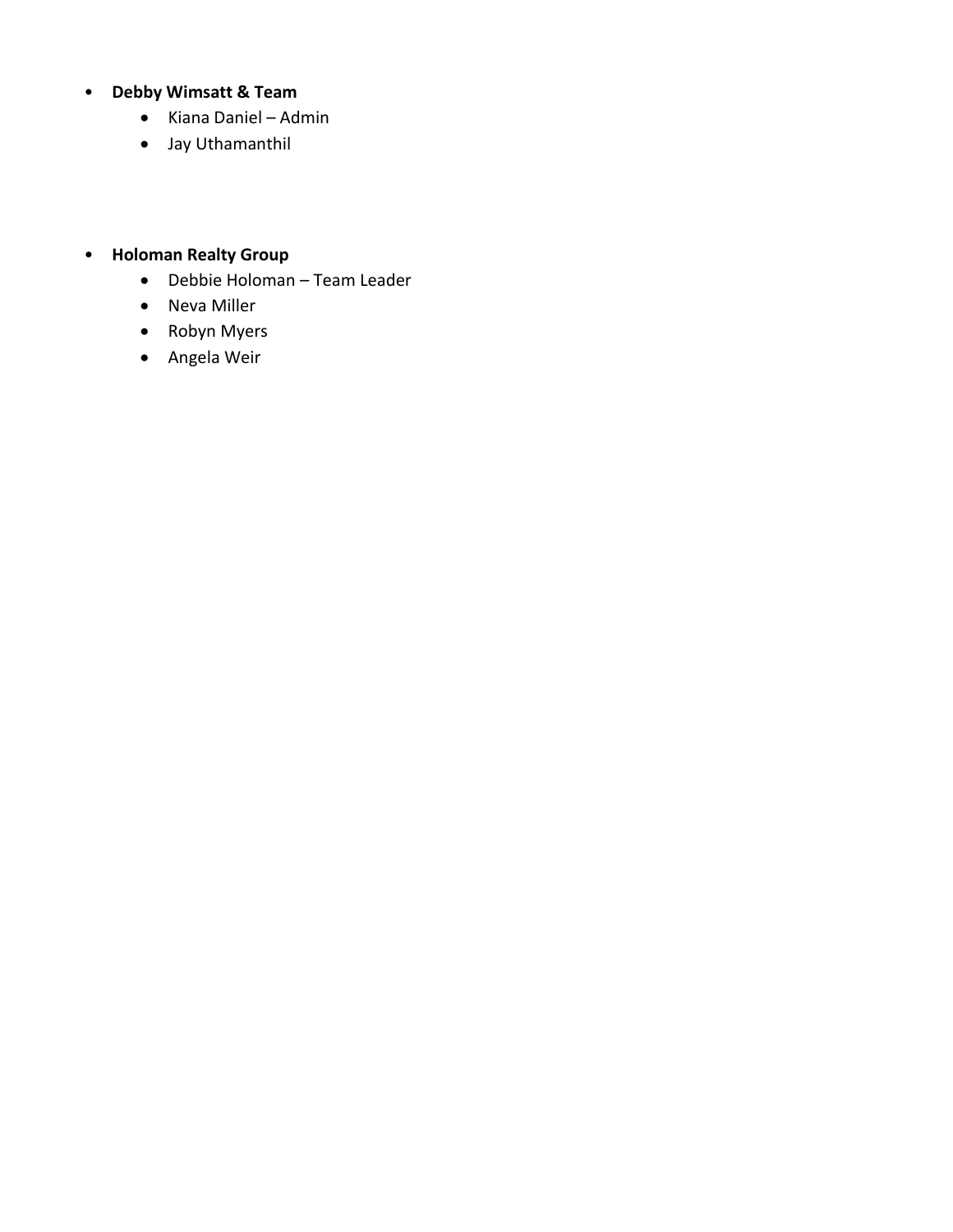## • **Debby Wimsatt & Team**

- Kiana Daniel Admin
- Jay Uthamanthil
- **Holoman Realty Group**
	- Debbie Holoman Team Leader
	- Neva Miller
	- Robyn Myers
	- Angela Weir